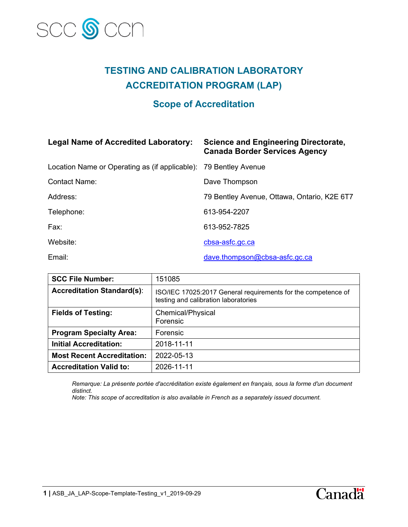

## **TESTING AND CALIBRATION LABORATORY ACCREDITATION PROGRAM (LAP)**

### **Scope of Accreditation**

#### **Legal Name of Accredited Laboratory: Science and Engineering Directorate,**

# **Canada Border Services Agency**

| Location Name or Operating as (if applicable): 79 Bentley Avenue |                                             |
|------------------------------------------------------------------|---------------------------------------------|
| <b>Contact Name:</b>                                             | Dave Thompson                               |
| Address:                                                         | 79 Bentley Avenue, Ottawa, Ontario, K2E 6T7 |
| Telephone:                                                       | 613-954-2207                                |
| Fax:                                                             | 613-952-7825                                |
| Website:                                                         | cbsa-asfc.gc.ca                             |
| Email:                                                           | dave.thompson@cbsa-asfc.gc.ca               |

| <b>SCC File Number:</b>           | 151085                                                                                                |
|-----------------------------------|-------------------------------------------------------------------------------------------------------|
| <b>Accreditation Standard(s):</b> | ISO/IEC 17025:2017 General requirements for the competence of<br>testing and calibration laboratories |
| <b>Fields of Testing:</b>         | Chemical/Physical<br>Forensic                                                                         |
| <b>Program Specialty Area:</b>    | Forensic                                                                                              |
| <b>Initial Accreditation:</b>     | 2018-11-11                                                                                            |
| <b>Most Recent Accreditation:</b> | 2022-05-13                                                                                            |
| <b>Accreditation Valid to:</b>    | 2026-11-11                                                                                            |

*Remarque: La présente portée d'accréditation existe également en français, sous la forme d'un document distinct.*

*Note: This scope of accreditation is also available in French as a separately issued document.* 



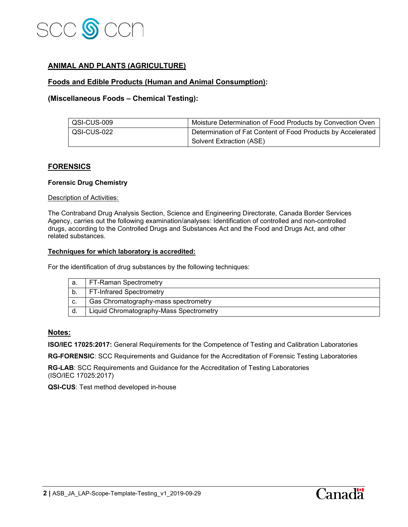

#### **ANIMAL AND PLANTS (AGRICULTURE)**

#### **Foods and Edible Products (Human and Animal Consumption):**

#### **(Miscellaneous Foods – Chemical Testing):**

| QSI-CUS-009 | Moisture Determination of Food Products by Convection Oven   |
|-------------|--------------------------------------------------------------|
| QSI-CUS-022 | Determination of Fat Content of Food Products by Accelerated |
|             | Solvent Extraction (ASE)                                     |

#### **FORENSICS**

#### **Forensic Drug Chemistry**

#### Description of Activities:

The Contraband Drug Analysis Section, Science and Engineering Directorate, Canada Border Services Agency, carries out the following examination/analyses: Identification of controlled and non-controlled drugs, according to the Controlled Drugs and Substances Act and the Food and Drugs Act, and other related substances.

#### **Techniques for which laboratory is accredited:**

For the identification of drug substances by the following techniques:

|    | FT-Raman Spectrometry                   |
|----|-----------------------------------------|
|    | <b>FT-Infrared Spectrometry</b>         |
| C. | Gas Chromatography-mass spectrometry    |
| d. | Liquid Chromatography-Mass Spectrometry |

#### **Notes:**

**ISO/IEC 17025:2017:** General Requirements for the Competence of Testing and Calibration Laboratories

**RG-FORENSIC**: SCC Requirements and Guidance for the Accreditation of Forensic Testing Laboratories

**RG-LAB**: SCC Requirements and Guidance for the Accreditation of Testing Laboratories (ISO/IEC 17025:2017)

**QSI-CUS**: Test method developed in-house